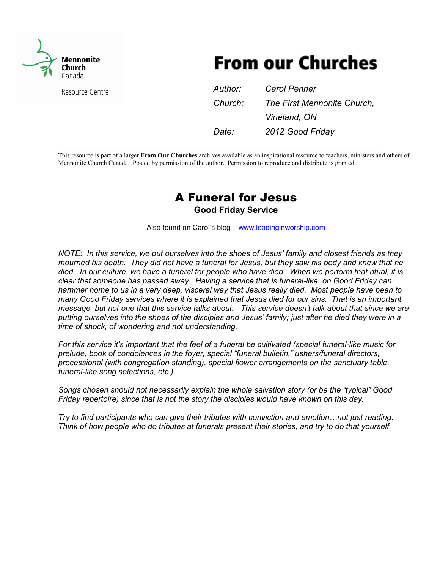

**From our Churches** 

| Resource Centre | Author: | <b>Carol Penner</b>         |
|-----------------|---------|-----------------------------|
|                 | Church: | The First Mennonite Church, |
|                 |         | Vineland, ON                |
|                 | Date:   | 2012 Good Friday            |

This resource is part of a larger **From Our Churches** archives available as an inspirational resource to teachers, ministers and others of Mennonite Church Canada. Posted by permission of the author. Permission to reproduce and distribute is granted.

 $\_$  , and the set of the set of the set of the set of the set of the set of the set of the set of the set of the set of the set of the set of the set of the set of the set of the set of the set of the set of the set of th

# A Funeral for Jesus

**Good Friday Service** 

Also found on Carol's blog – www.leadinginworship.com

*NOTE: In this service, we put ourselves into the shoes of Jesus' family and closest friends as they mourned his death. They did not have a funeral for Jesus, but they saw his body and knew that he died. In our culture, we have a funeral for people who have died. When we perform that ritual, it is clear that someone has passed away. Having a service that is funeral-like on Good Friday can hammer home to us in a very deep, visceral way that Jesus really died. Most people have been to many Good Friday services where it is explained that Jesus died for our sins. That is an important message, but not one that this service talks about. This service doesn't talk about that since we are putting ourselves into the shoes of the disciples and Jesus' family; just after he died they were in a time of shock, of wondering and not understanding.* 

*For this service it's important that the feel of a funeral be cultivated (special funeral-like music for prelude, book of condolences in the foyer, special "funeral bulletin," ushers/funeral directors, processional (with congregation standing), special flower arrangements on the sanctuary table, funeral-like song selections, etc.)* 

*Songs chosen should not necessarily explain the whole salvation story (or be the "typical" Good Friday repertoire) since that is not the story the disciples would have known on this day.* 

*Try to find participants who can give their tributes with conviction and emotion...not just reading. Think of how people who do tributes at funerals present their stories, and try to do that yourself.*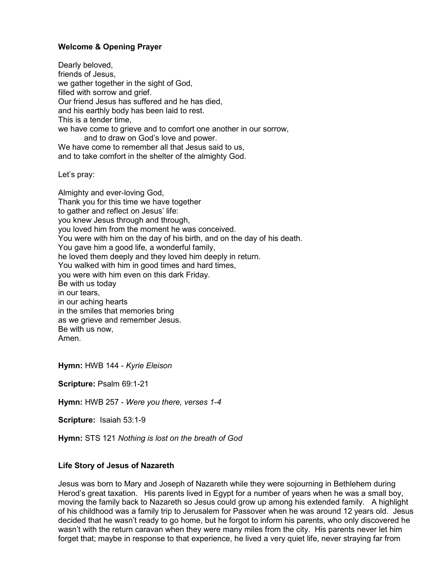# **Welcome & Opening Prayer**

Dearly beloved, friends of Jesus, we gather together in the sight of God, filled with sorrow and grief. Our friend Jesus has suffered and he has died, and his earthly body has been laid to rest. This is a tender time, we have come to grieve and to comfort one another in our sorrow, and to draw on God's love and power. We have come to remember all that Jesus said to us. and to take comfort in the shelter of the almighty God.

Let's pray:

Almighty and ever-loving God, Thank you for this time we have together to gather and reflect on Jesus' life: you knew Jesus through and through, you loved him from the moment he was conceived. You were with him on the day of his birth, and on the day of his death. You gave him a good life, a wonderful family, he loved them deeply and they loved him deeply in return. You walked with him in good times and hard times, you were with him even on this dark Friday. Be with us today in our tears, in our aching hearts in the smiles that memories bring as we grieve and remember Jesus. Be with us now, Amen.

**Hymn:** HWB 144 - *Kyrie Eleison* 

**Scripture:** Psalm 69:1-21

**Hymn:** HWB 257 - *Were you there, verses 1-4*

**Scripture:** Isaiah 53:1-9

**Hymn:** STS 121 *Nothing is lost on the breath of God* 

# **Life Story of Jesus of Nazareth**

Jesus was born to Mary and Joseph of Nazareth while they were sojourning in Bethlehem during Herod's great taxation. His parents lived in Egypt for a number of years when he was a small boy, moving the family back to Nazareth so Jesus could grow up among his extended family. A highlight of his childhood was a family trip to Jerusalem for Passover when he was around 12 years old. Jesus decided that he wasn't ready to go home, but he forgot to inform his parents, who only discovered he wasn't with the return caravan when they were many miles from the city. His parents never let him forget that; maybe in response to that experience, he lived a very quiet life, never straying far from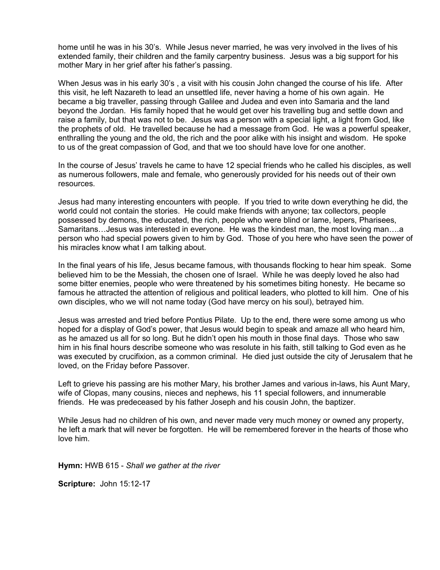home until he was in his 30's. While Jesus never married, he was very involved in the lives of his extended family, their children and the family carpentry business. Jesus was a big support for his mother Mary in her grief after his father's passing.

When Jesus was in his early 30's , a visit with his cousin John changed the course of his life. After this visit, he left Nazareth to lead an unsettled life, never having a home of his own again. He became a big traveller, passing through Galilee and Judea and even into Samaria and the land beyond the Jordan. His family hoped that he would get over his travelling bug and settle down and raise a family, but that was not to be. Jesus was a person with a special light, a light from God, like the prophets of old. He travelled because he had a message from God. He was a powerful speaker, enthralling the young and the old, the rich and the poor alike with his insight and wisdom. He spoke to us of the great compassion of God, and that we too should have love for one another.

In the course of Jesus' travels he came to have 12 special friends who he called his disciples, as well as numerous followers, male and female, who generously provided for his needs out of their own resources.

Jesus had many interesting encounters with people. If you tried to write down everything he did, the world could not contain the stories. He could make friends with anyone; tax collectors, people possessed by demons, the educated, the rich, people who were blind or lame, lepers, Pharisees, Samaritans... Jesus was interested in everyone. He was the kindest man, the most loving man....a person who had special powers given to him by God. Those of you here who have seen the power of his miracles know what I am talking about.

In the final years of his life, Jesus became famous, with thousands flocking to hear him speak. Some believed him to be the Messiah, the chosen one of Israel. While he was deeply loved he also had some bitter enemies, people who were threatened by his sometimes biting honesty. He became so famous he attracted the attention of religious and political leaders, who plotted to kill him. One of his own disciples, who we will not name today (God have mercy on his soul), betrayed him.

Jesus was arrested and tried before Pontius Pilate. Up to the end, there were some among us who hoped for a display of God's power, that Jesus would begin to speak and amaze all who heard him, as he amazed us all for so long. But he didn't open his mouth in those final days. Those who saw him in his final hours describe someone who was resolute in his faith, still talking to God even as he was executed by crucifixion, as a common criminal. He died just outside the city of Jerusalem that he loved, on the Friday before Passover.

Left to grieve his passing are his mother Mary, his brother James and various in-laws, his Aunt Mary, wife of Clopas, many cousins, nieces and nephews, his 11 special followers, and innumerable friends. He was predeceased by his father Joseph and his cousin John, the baptizer.

While Jesus had no children of his own, and never made very much money or owned any property, he left a mark that will never be forgotten. He will be remembered forever in the hearts of those who love him.

**Hymn:** HWB 615 - *Shall we gather at the river*

**Scripture:** John 15:12-17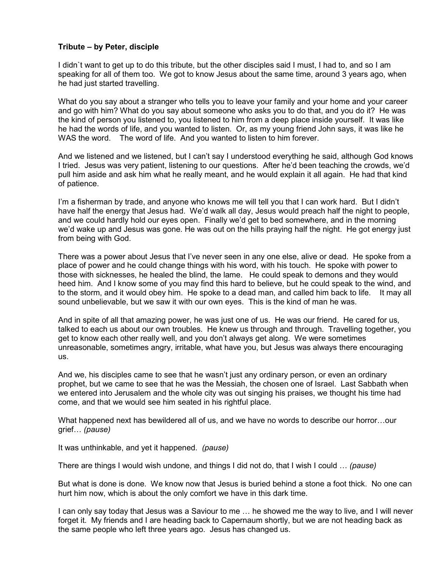### **Tribute – by Peter, disciple**

I didn`t want to get up to do this tribute, but the other disciples said I must, I had to, and so I am speaking for all of them too. We got to know Jesus about the same time, around 3 years ago, when he had just started travelling.

What do you say about a stranger who tells you to leave your family and your home and your career and go with him? What do you say about someone who asks you to do that, and you do it? He was the kind of person you listened to, you listened to him from a deep place inside yourself. It was like he had the words of life, and you wanted to listen. Or, as my young friend John says, it was like he WAS the word. The word of life. And you wanted to listen to him forever.

And we listened and we listened, but I can't say I understood everything he said, although God knows I tried. Jesus was very patient, listening to our questions. After he'd been teaching the crowds, we'd pull him aside and ask him what he really meant, and he would explain it all again. He had that kind of patience.

I'm a fisherman by trade, and anyone who knows me will tell you that I can work hard. But I didn't have half the energy that Jesus had. We'd walk all day, Jesus would preach half the night to people, and we could hardly hold our eyes open. Finally we'd get to bed somewhere, and in the morning we'd wake up and Jesus was gone. He was out on the hills praying half the night. He got energy just from being with God.

There was a power about Jesus that I've never seen in any one else, alive or dead. He spoke from a place of power and he could change things with his word, with his touch. He spoke with power to those with sicknesses, he healed the blind, the lame. He could speak to demons and they would heed him. And I know some of you may find this hard to believe, but he could speak to the wind, and to the storm, and it would obey him. He spoke to a dead man, and called him back to life. It may all sound unbelievable, but we saw it with our own eyes. This is the kind of man he was.

And in spite of all that amazing power, he was just one of us. He was our friend. He cared for us, talked to each us about our own troubles. He knew us through and through. Travelling together, you get to know each other really well, and you don't always get along. We were sometimes unreasonable, sometimes angry, irritable, what have you, but Jesus was always there encouraging us.

And we, his disciples came to see that he wasn't just any ordinary person, or even an ordinary prophet, but we came to see that he was the Messiah, the chosen one of Israel. Last Sabbath when we entered into Jerusalem and the whole city was out singing his praises, we thought his time had come, and that we would see him seated in his rightful place.

What happened next has bewildered all of us, and we have no words to describe our horror...our grief? *(pause)* 

It was unthinkable, and yet it happened. *(pause)* 

There are things I would wish undone, and things I did not do, that I wish I could ? *(pause)*

But what is done is done. We know now that Jesus is buried behind a stone a foot thick. No one can hurt him now, which is about the only comfort we have in this dark time.

I can only say today that Jesus was a Saviour to me ... he showed me the way to live, and I will never forget it. My friends and I are heading back to Capernaum shortly, but we are not heading back as the same people who left three years ago. Jesus has changed us.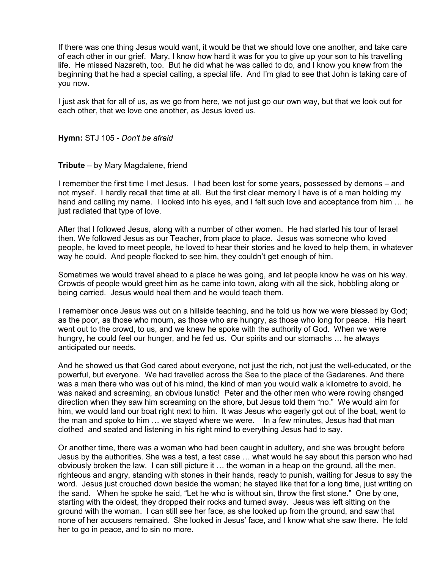If there was one thing Jesus would want, it would be that we should love one another, and take care of each other in our grief. Mary, I know how hard it was for you to give up your son to his travelling life. He missed Nazareth, too. But he did what he was called to do, and I know you knew from the beginning that he had a special calling, a special life. And I'm glad to see that John is taking care of you now.

I just ask that for all of us, as we go from here, we not just go our own way, but that we look out for each other, that we love one another, as Jesus loved us.

**Hymn:** STJ 105 - *Don't be afraid* 

#### **Tribute** – by Mary Magdalene, friend

I remember the first time I met Jesus. I had been lost for some years, possessed by demons – and not myself. I hardly recall that time at all. But the first clear memory I have is of a man holding my hand and calling my name. I looked into his eyes, and I felt such love and acceptance from him ... he just radiated that type of love.

After that I followed Jesus, along with a number of other women. He had started his tour of Israel then. We followed Jesus as our Teacher, from place to place. Jesus was someone who loved people, he loved to meet people, he loved to hear their stories and he loved to help them, in whatever way he could. And people flocked to see him, they couldn't get enough of him.

Sometimes we would travel ahead to a place he was going, and let people know he was on his way. Crowds of people would greet him as he came into town, along with all the sick, hobbling along or being carried. Jesus would heal them and he would teach them.

I remember once Jesus was out on a hillside teaching, and he told us how we were blessed by God; as the poor, as those who mourn, as those who are hungry, as those who long for peace. His heart went out to the crowd, to us, and we knew he spoke with the authority of God. When we were hungry, he could feel our hunger, and he fed us. Our spirits and our stomachs ... he always anticipated our needs.

And he showed us that God cared about everyone, not just the rich, not just the well-educated, or the powerful, but everyone. We had travelled across the Sea to the place of the Gadarenes. And there was a man there who was out of his mind, the kind of man you would walk a kilometre to avoid, he was naked and screaming, an obvious lunatic! Peter and the other men who were rowing changed direction when they saw him screaming on the shore, but Jesus told them "no." We would aim for him, we would land our boat right next to him. It was Jesus who eagerly got out of the boat, went to the man and spoke to him  $\ldots$  we stayed where we were. In a few minutes, Jesus had that man clothed and seated and listening in his right mind to everything Jesus had to say.

Or another time, there was a woman who had been caught in adultery, and she was brought before Jesus by the authorities. She was a test, a test case ... what would he say about this person who had obviously broken the law. I can still picture it  $\ldots$  the woman in a heap on the ground, all the men, righteous and angry, standing with stones in their hands, ready to punish, waiting for Jesus to say the word. Jesus just crouched down beside the woman; he stayed like that for a long time, just writing on the sand. When he spoke he said, "Let he who is without sin, throw the first stone." One by one, starting with the oldest, they dropped their rocks and turned away. Jesus was left sitting on the ground with the woman. I can still see her face, as she looked up from the ground, and saw that none of her accusers remained. She looked in Jesus' face, and I know what she saw there. He told her to go in peace, and to sin no more.